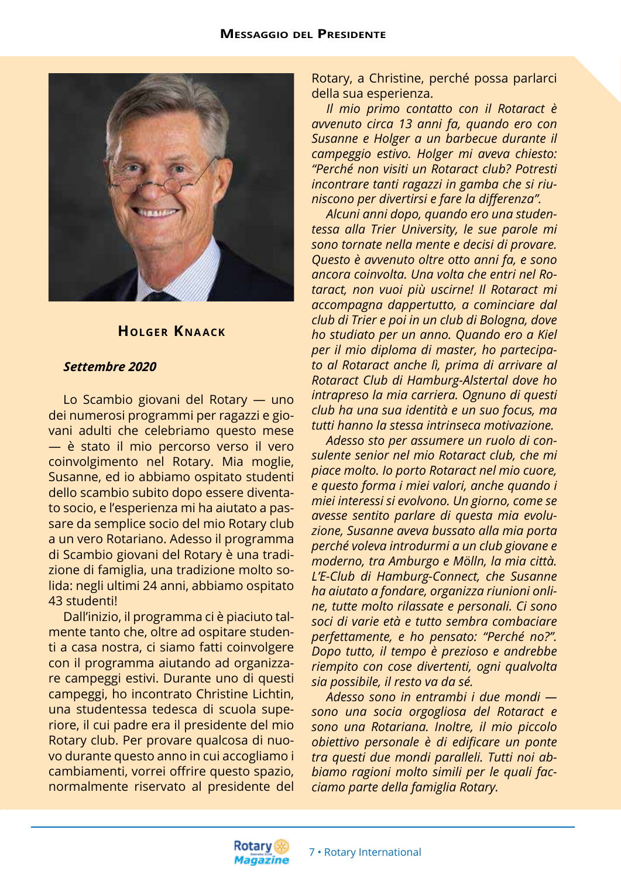

### **Holger Kna ack**

#### *Settembre 2020*

Lo Scambio giovani del Rotary — uno dei numerosi programmi per ragazzi e giovani adulti che celebriamo questo mese — è stato il mio percorso verso il vero coinvolgimento nel Rotary. Mia moglie, Susanne, ed io abbiamo ospitato studenti dello scambio subito dopo essere diventato socio, e l'esperienza mi ha aiutato a passare da semplice socio del mio Rotary club a un vero Rotariano. Adesso il programma di Scambio giovani del Rotary è una tradizione di famiglia, una tradizione molto solida: negli ultimi 24 anni, abbiamo ospitato 43 studenti!

Dall'inizio, il programma ci è piaciuto talmente tanto che, oltre ad ospitare studenti a casa nostra, ci siamo fatti coinvolgere con il programma aiutando ad organizzare campeggi estivi. Durante uno di questi campeggi, ho incontrato Christine Lichtin, una studentessa tedesca di scuola superiore, il cui padre era il presidente del mio Rotary club. Per provare qualcosa di nuovo durante questo anno in cui accogliamo i cambiamenti, vorrei offrire questo spazio, normalmente riservato al presidente del

Rotary, a Christine, perché possa parlarci della sua esperienza.

*Il mio primo contatto con il Rotaract è avvenuto circa 13 anni fa, quando ero con Susanne e Holger a un barbecue durante il campeggio estivo. Holger mi aveva chiesto: "Perché non visiti un Rotaract club? Potresti incontrare tanti ragazzi in gamba che si riuniscono per divertirsi e fare la differenza".*

*Alcuni anni dopo, quando ero una studentessa alla Trier University, le sue parole mi sono tornate nella mente e decisi di provare. Questo è avvenuto oltre otto anni fa, e sono ancora coinvolta. Una volta che entri nel Rotaract, non vuoi più uscirne! Il Rotaract mi accompagna dappertutto, a cominciare dal club di Trier e poi in un club di Bologna, dove ho studiato per un anno. Quando ero a Kiel per il mio diploma di master, ho partecipato al Rotaract anche lì, prima di arrivare al Rotaract Club di Hamburg-Alstertal dove ho intrapreso la mia carriera. Ognuno di questi club ha una sua identità e un suo focus, ma tutti hanno la stessa intrinseca motivazione.*

*Adesso sto per assumere un ruolo di consulente senior nel mio Rotaract club, che mi piace molto. Io porto Rotaract nel mio cuore, e questo forma i miei valori, anche quando i miei interessi si evolvono. Un giorno, come se avesse sentito parlare di questa mia evoluzione, Susanne aveva bussato alla mia porta perché voleva introdurmi a un club giovane e moderno, tra Amburgo e Mölln, la mia città. L'E-Club di Hamburg-Connect, che Susanne ha aiutato a fondare, organizza riunioni online, tutte molto rilassate e personali. Ci sono soci di varie età e tutto sembra combaciare perfettamente, e ho pensato: "Perché no?". Dopo tutto, il tempo è prezioso e andrebbe riempito con cose divertenti, ogni qualvolta sia possibile, il resto va da sé.*

*Adesso sono in entrambi i due mondi sono una socia orgogliosa del Rotaract e sono una Rotariana. Inoltre, il mio piccolo obiettivo personale è di edificare un ponte tra questi due mondi paralleli. Tutti noi abbiamo ragioni molto simili per le quali facciamo parte della famiglia Rotary.*

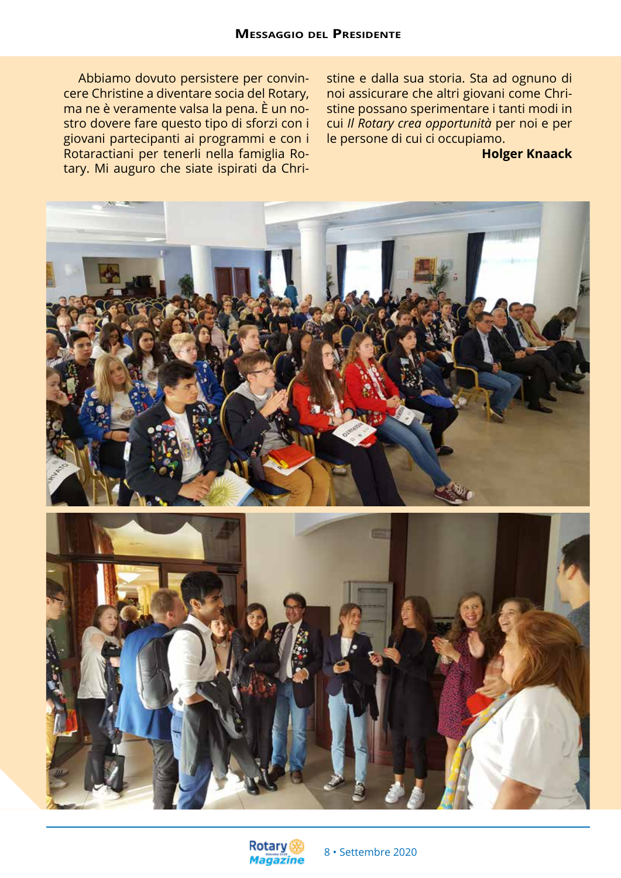Abbiamo dovuto persistere per convincere Christine a diventare socia del Rotary, ma ne è veramente valsa la pena. È un nostro dovere fare questo tipo di sforzi con i giovani partecipanti ai programmi e con i Rotaractiani per tenerli nella famiglia Rotary. Mi auguro che siate ispirati da Christine e dalla sua storia. Sta ad ognuno di noi assicurare che altri giovani come Christine possano sperimentare i tanti modi in cui *Il Rotary crea opportunità* per noi e per le persone di cui ci occupiamo.

### **Holger Knaack**





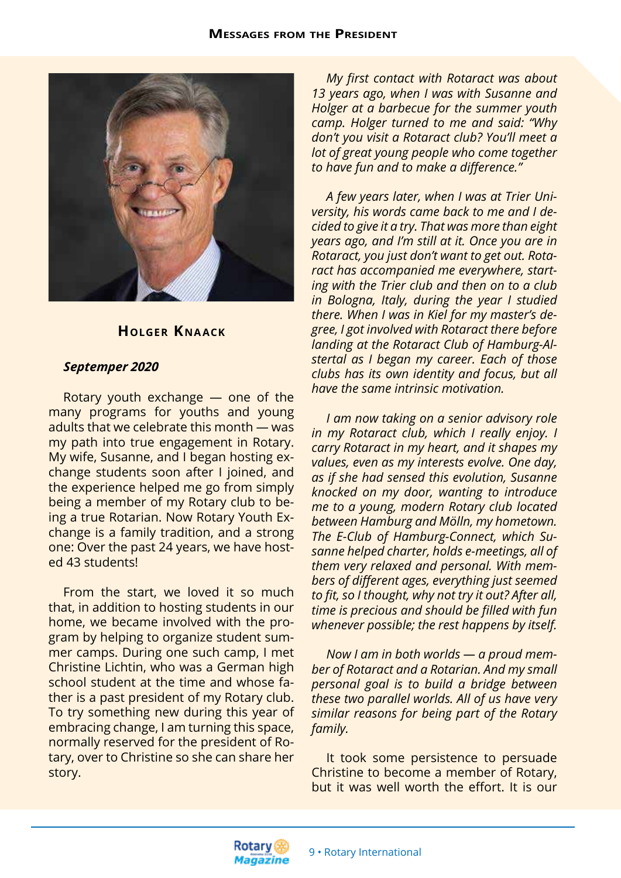

## **Holger Kna ack**

#### *Septemper 2020*

Rotary youth exchange — one of the many programs for youths and young adults that we celebrate this month — was my path into true engagement in Rotary. My wife, Susanne, and I began hosting exchange students soon after I joined, and the experience helped me go from simply being a member of my Rotary club to being a true Rotarian. Now Rotary Youth Exchange is a family tradition, and a strong one: Over the past 24 years, we have hosted 43 students!

From the start, we loved it so much that, in addition to hosting students in our home, we became involved with the program by helping to organize student summer camps. During one such camp, I met Christine Lichtin, who was a German high school student at the time and whose father is a past president of my Rotary club. To try something new during this year of embracing change, I am turning this space, normally reserved for the president of Rotary, over to Christine so she can share her story.

*My first contact with Rotaract was about 13 years ago, when I was with Susanne and Holger at a barbecue for the summer youth camp. Holger turned to me and said: "Why don't you visit a Rotaract club? You'll meet a lot of great young people who come together to have fun and to make a difference."*

*A few years later, when I was at Trier University, his words came back to me and I decided to give it a try. That was more than eight years ago, and I'm still at it. Once you are in Rotaract, you just don't want to get out. Rotaract has accompanied me everywhere, starting with the Trier club and then on to a club in Bologna, Italy, during the year I studied there. When I was in Kiel for my master's degree, I got involved with Rotaract there before landing at the Rotaract Club of Hamburg-Alstertal as I began my career. Each of those clubs has its own identity and focus, but all have the same intrinsic motivation.*

*I am now taking on a senior advisory role in my Rotaract club, which I really enjoy. I carry Rotaract in my heart, and it shapes my values, even as my interests evolve. One day, as if she had sensed this evolution, Susanne knocked on my door, wanting to introduce me to a young, modern Rotary club located between Hamburg and Mölln, my hometown. The E-Club of Hamburg-Connect, which Susanne helped charter, holds e-meetings, all of them very relaxed and personal. With members of different ages, everything just seemed to fit, so I thought, why not try it out? After all, time is precious and should be filled with fun whenever possible; the rest happens by itself.*

*Now I am in both worlds — a proud member of Rotaract and a Rotarian. And my small personal goal is to build a bridge between these two parallel worlds. All of us have very similar reasons for being part of the Rotary family.*

It took some persistence to persuade Christine to become a member of Rotary, but it was well worth the effort. It is our